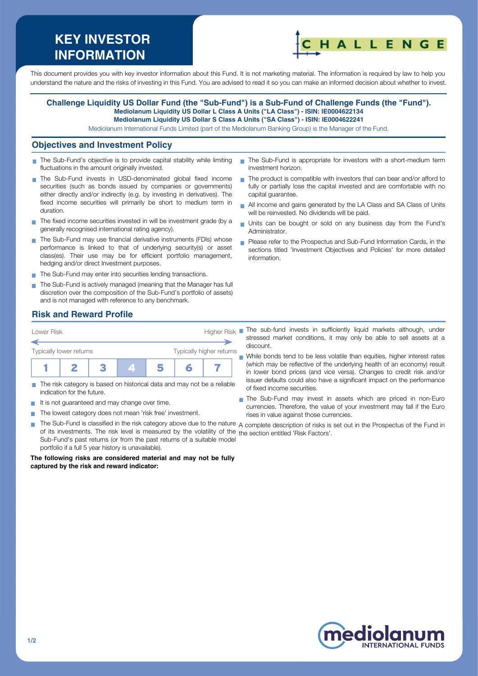# **KEY INVESTOR INFORMATION**



This document provides you with key investor information about this Fund. It is not marketing material. The information is required by law to help you understand the nature and the risks of investing in this Fund. You are advised to read it so you can make an informed decision about whether to invest.

#### **Challenge Liquidity US Dollar Fund (the "Sub-Fund") is a Sub-Fund of Challenge Funds (the "Fund"). Mediolanum Liquidity US Dollar L Class A Units ("LA Class") - ISIN: IE0004622134 Mediolanum Liquidity US Dollar S Class A Units ("SA Class") - ISIN: IE0004622241**

Mediolanum International Funds Limited (part of the Mediolanum Banking Group) is the Manager of the Fund.

### **Objectives and Investment Policy**

- The Sub-Fund's objective is to provide capital stability while limiting  $\mathcal{L}_{\mathcal{A}}$ fluctuations in the amount originally invested.
- The Sub-Fund invests in USD-denominated global fixed income securities (such as bonds issued by companies or governments) either directly and/or indirectly (e.g. by investing in derivatives). The fixed income securities will primarily be short to medium term in duration.
- The fixed income securities invested in will be investment grade (by a generally recognised international rating agency).
- The Sub-Fund may use financial derivative instruments (FDIs) whose performance is linked to that of underlying security(s) or asset class(es). Their use may be for efficient portfolio management, hedging and/or direct Investment purposes.
- The Sub-Fund may enter into securities lending transactions.
- The Sub-Fund is actively managed (meaning that the Manager has full discretion over the composition of the Sub-Fund's portfolio of assets) and is not managed with reference to any benchmark.
- The Sub-Fund is appropriate for investors with a short-medium term investment horizon.
- The product is compatible with investors that can bear and/or afford to fully or partially lose the capital invested and are comfortable with no capital guarantee.
- All income and gains generated by the LA Class and SA Class of Units will be reinvested. No dividends will be paid.
- Units can be bought or sold on any business day from the Fund's Administrator.
- Please refer to the Prospectus and Sub-Fund Information Cards, in the sections titled 'Investment Objectives and Policies' for more detailed information.

## **Risk and Reward Profile**



- The risk category is based on historical data and may not be a reliable indication for the future.
- It is not guaranteed and may change over time.
- The lowest category does not mean 'risk free' investment.  $\sim$
- **T** The Sub-Fund is classified in the risk category above due to the nature  $\,$  complete description of risks is set out in the Prospectus of the Fund in of its investments. The risk level is measured by the volatility of the the section entitled 'Risk Factors'.Sub-Fund's past returns (or from the past returns of a suitable model portfolio if a full 5 year history is unavailable).

#### **The following risks are considered material and may not be fully captured by the risk and reward indicator:**

- stressed market conditions, it may only be able to sell assets at a discount.
- While bonds tend to be less volatile than equities, higher interest rates  $\mathbf{r}$ (which may be reflective of the underlying health of an economy) result in lower bond prices (and vice versa). Changes to credit risk and/or issuer defaults could also have a significant impact on the performance of fixed income securities.
- The Sub-Fund may invest in assets which are priced in non-Euro currencies. Therefore, the value of your investment may fall if the Euro rises in value against those currencies.